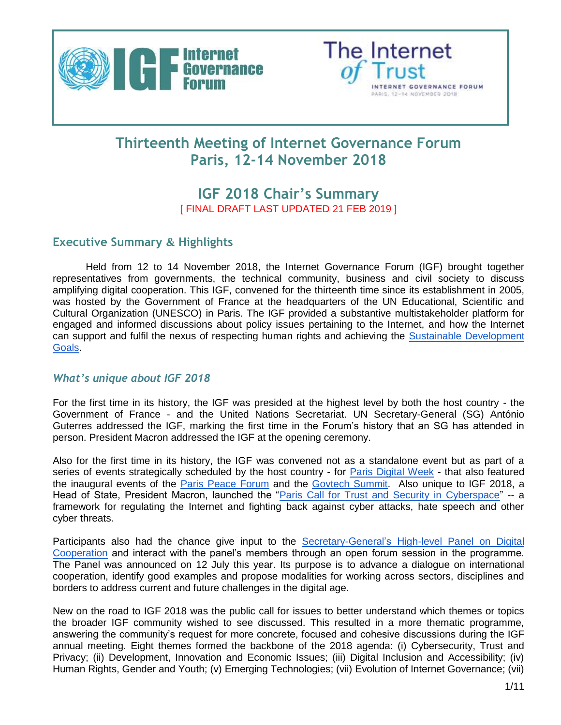



# **Thirteenth Meeting of Internet Governance Forum Paris, 12-14 November 2018**

# **IGF 2018 Chair's Summary** [ FINAL DRAFT LAST UPDATED 21 FEB 2019 ]

### **Executive Summary & Highlights**

Held from 12 to 14 November 2018, the Internet Governance Forum (IGF) brought together representatives from governments, the technical community, business and civil society to discuss amplifying digital cooperation. This IGF, convened for the thirteenth time since its establishment in 2005, was hosted by the Government of France at the headquarters of the UN Educational, Scientific and Cultural Organization (UNESCO) in Paris. The IGF provided a substantive multistakeholder platform for engaged and informed discussions about policy issues pertaining to the Internet, and how the Internet can support and fulfil the nexus of respecting human rights and achieving the [Sustainable Development](https://sustainabledevelopment.un.org/sdgs)  [Goals.](https://sustainabledevelopment.un.org/sdgs)

### *What's unique about IGF 2018*

For the first time in its history, the IGF was presided at the highest level by both the host country - the Government of France - and the United Nations Secretariat. UN Secretary-General (SG) António Guterres addressed the IGF, marking the first time in the Forum's history that an SG has attended in person. President Macron addressed the IGF at the opening ceremony.

Also for the first time in its history, the IGF was convened not as a standalone event but as part of a series of events strategically scheduled by the host country - for **Paris Digital Week** - that also featured the inaugural events of the [Paris Peace Forum](https://parispeaceforum.org/) and the [Govtech Summit.](http://govtechsummit.eu/) Also unique to IGF 2018, a Head of State, President Macron, launched the ["Paris Call for Trust and Security in Cyberspace"](https://www.diplomatie.gouv.fr/en/french-foreign-policy/digital-diplomacy/france-and-cyber-security/article/cybersecurity-paris-call-of-12-november-2018-for-trust-and-security-in) -- a framework for regulating the Internet and fighting back against cyber attacks, hate speech and other cyber threats.

Participants also had the chance give input to the Secretary-General's High-level Panel on Digital [Cooperation](https://digitalcooperation.org/) and interact with the panel's members through an open forum session in the programme. The Panel was announced on 12 July this year. Its purpose is to advance a dialogue on international cooperation, identify good examples and propose modalities for working across sectors, disciplines and borders to address current and future challenges in the digital age.

New on the road to IGF 2018 was the public call for issues to better understand which themes or topics the broader IGF community wished to see discussed. This resulted in a more thematic programme, answering the community's request for more concrete, focused and cohesive discussions during the IGF annual meeting. Eight themes formed the backbone of the 2018 agenda: (i) Cybersecurity, Trust and Privacy; (ii) Development, Innovation and Economic Issues; (iii) Digital Inclusion and Accessibility; (iv) Human Rights, Gender and Youth; (v) Emerging Technologies; (vii) Evolution of Internet Governance; (vii)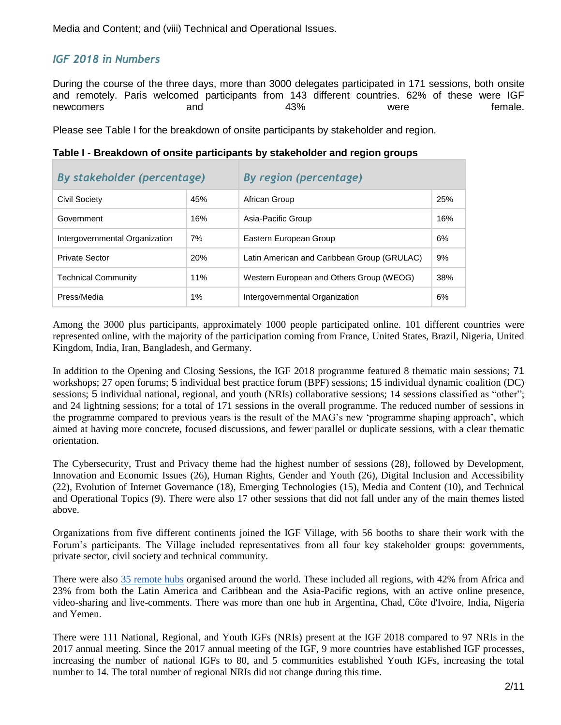Media and Content; and (viii) Technical and Operational Issues.

# *IGF 2018 in Numbers*

During the course of the three days, more than 3000 delegates participated in 171 sessions, both onsite and remotely. Paris welcomed participants from 143 different countries. 62% of these were IGF newcomers and and 43% were female.

Please see Table I for the breakdown of onsite participants by stakeholder and region.

|  |  | Table I - Breakdown of onsite participants by stakeholder and region groups |
|--|--|-----------------------------------------------------------------------------|
|  |  |                                                                             |

| By stakeholder (percentage)    |     | <b>By region (percentage)</b>               |     |  |  |  |  |
|--------------------------------|-----|---------------------------------------------|-----|--|--|--|--|
| 45%<br>Civil Society           |     | African Group                               | 25% |  |  |  |  |
| Government                     | 16% | Asia-Pacific Group                          | 16% |  |  |  |  |
| Intergovernmental Organization | 7%  | Eastern European Group                      | 6%  |  |  |  |  |
| <b>Private Sector</b>          | 20% | Latin American and Caribbean Group (GRULAC) | 9%  |  |  |  |  |
| <b>Technical Community</b>     | 11% | Western European and Others Group (WEOG)    | 38% |  |  |  |  |
| Press/Media<br>$1\%$           |     | Intergovernmental Organization              | 6%  |  |  |  |  |

Among the 3000 plus participants, approximately 1000 people participated online. 101 different countries were represented online, with the majority of the participation coming from France, United States, Brazil, Nigeria, United Kingdom, India, Iran, Bangladesh, and Germany.

In addition to the Opening and Closing Sessions, the IGF 2018 programme featured 8 thematic main sessions; 71 workshops; 27 open forums; 5 individual best practice forum (BPF) sessions; 15 individual dynamic coalition (DC) sessions; 5 individual national, regional, and youth (NRIs) collaborative sessions; 14 sessions classified as "other"; and 24 lightning sessions; for a total of 171 sessions in the overall programme. The reduced number of sessions in the programme compared to previous years is the result of the MAG's new 'programme shaping approach', which aimed at having more concrete, focused discussions, and fewer parallel or duplicate sessions, with a clear thematic orientation.

The Cybersecurity, Trust and Privacy theme had the highest number of sessions (28), followed by Development, Innovation and Economic Issues (26), Human Rights, Gender and Youth (26), Digital Inclusion and Accessibility (22), Evolution of Internet Governance (18), Emerging Technologies (15), Media and Content (10), and Technical and Operational Topics (9). There were also 17 other sessions that did not fall under any of the main themes listed above.

Organizations from five different continents joined the IGF Village, with 56 booths to share their work with the Forum's participants. The Village included representatives from all four key stakeholder groups: governments, private sector, civil society and technical community.

There were also  $35$  remote hubs organised around the world. These included all regions, with 42% from Africa and 23% from both the Latin America and Caribbean and the Asia-Pacific regions, with an active online presence, video-sharing and live-comments. There was more than one hub in Argentina, Chad, Côte d'Ivoire, India, Nigeria and Yemen.

There were 111 National, Regional, and Youth IGFs (NRIs) present at the IGF 2018 compared to 97 NRIs in the 2017 annual meeting. Since the 2017 annual meeting of the IGF, 9 more countries have established IGF processes, increasing the number of national IGFs to 80, and 5 communities established Youth IGFs, increasing the total number to 14. The total number of regional NRIs did not change during this time.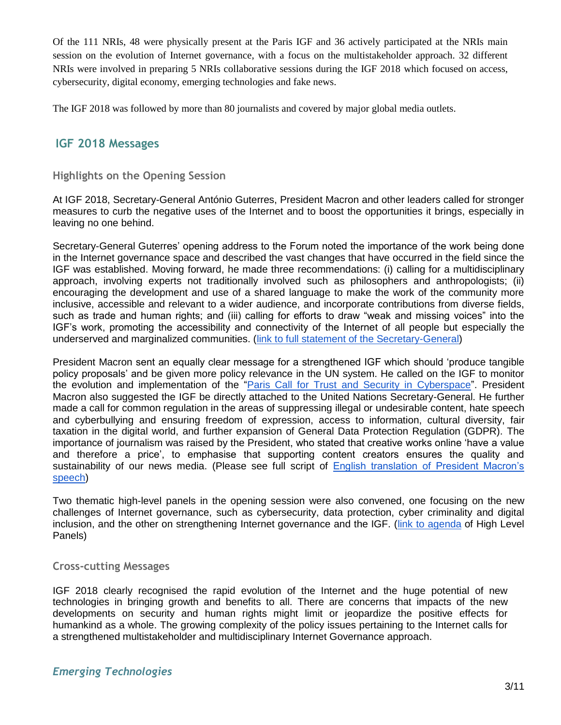Of the 111 NRIs, 48 were physically present at the Paris IGF and 36 actively participated at the NRIs main session on the evolution of Internet governance, with a focus on the multistakeholder approach. 32 different NRIs were involved in preparing 5 NRIs collaborative sessions during the IGF 2018 which focused on access, cybersecurity, digital economy, emerging technologies and fake news.

The IGF 2018 was followed by more than 80 journalists and covered by major global media outlets.

### **IGF 2018 Messages**

#### **Highlights on the Opening Session**

At IGF 2018, Secretary-General António Guterres, President Macron and other leaders called for stronger measures to curb the negative uses of the Internet and to boost the opportunities it brings, especially in leaving no one behind.

Secretary-General Guterres' opening address to the Forum noted the importance of the work being done in the Internet governance space and described the vast changes that have occurred in the field since the IGF was established. Moving forward, he made three recommendations: (i) calling for a multidisciplinary approach, involving experts not traditionally involved such as philosophers and anthropologists; (ii) encouraging the development and use of a shared language to make the work of the community more inclusive, accessible and relevant to a wider audience, and incorporate contributions from diverse fields, such as trade and human rights; and (iii) calling for efforts to draw "weak and missing voices" into the IGF's work, promoting the accessibility and connectivity of the Internet of all people but especially the underserved and marginalized communities. [\(link to full statement of the Secretary-General\)](https://www.un.org/sg/en/content/sg/speeches/2018-11-12/address-internet-governance-forum)

President Macron sent an equally clear message for a strengthened IGF which should 'produce tangible policy proposals' and be given more policy relevance in the UN system. He called on the IGF to monitor the evolution and implementation of the ["Paris Call for Trust and Security in Cyberspace"](https://www.diplomatie.gouv.fr/en/french-foreign-policy/digital-diplomacy/france-and-cyber-security/article/cybersecurity-paris-call-of-12-november-2018-for-trust-and-security-in). President Macron also suggested the IGF be directly attached to the United Nations Secretary-General. He further made a call for common regulation in the areas of suppressing illegal or undesirable content, hate speech and cyberbullying and ensuring freedom of expression, access to information, cultural diversity, fair taxation in the digital world, and further expansion of General Data Protection Regulation (GDPR). The importance of journalism was raised by the President, who stated that creative works online 'have a value and therefore a price', to emphasise that supporting content creators ensures the quality and sustainability of our news media. (Please see full script of [English translation of President Macron's](https://www.intgovforum.org/multilingual/content/igf-2018-speech-by-french-president-emmanuel-macron)  [speech\)](https://www.intgovforum.org/multilingual/content/igf-2018-speech-by-french-president-emmanuel-macron)

Two thematic high-level panels in the opening session were also convened, one focusing on the new challenges of Internet governance, such as cybersecurity, data protection, cyber criminality and digital inclusion, and the other on strengthening Internet governance and the IGF. [\(link to agenda](http://igf2018.fr/wp-content/uploads/2018/11/IGF-Paris-2018-High-Level-Meeting-ENGLISH.pdf) of High Level Panels)

#### **Cross-cutting Messages**

IGF 2018 clearly recognised the rapid evolution of the Internet and the huge potential of new technologies in bringing growth and benefits to all. There are concerns that impacts of the new developments on security and human rights might limit or jeopardize the positive effects for humankind as a whole. The growing complexity of the policy issues pertaining to the Internet calls for a strengthened multistakeholder and multidisciplinary Internet Governance approach.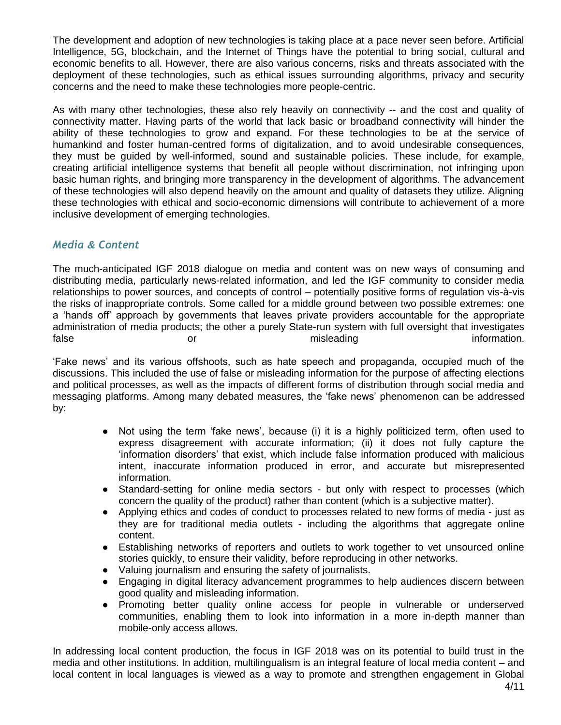The development and adoption of new technologies is taking place at a pace never seen before. Artificial Intelligence, 5G, blockchain, and the Internet of Things have the potential to bring social, cultural and economic benefits to all. However, there are also various concerns, risks and threats associated with the deployment of these technologies, such as ethical issues surrounding algorithms, privacy and security concerns and the need to make these technologies more people-centric.

As with many other technologies, these also rely heavily on connectivity -- and the cost and quality of connectivity matter. Having parts of the world that lack basic or broadband connectivity will hinder the ability of these technologies to grow and expand. For these technologies to be at the service of humankind and foster human-centred forms of digitalization, and to avoid undesirable consequences, they must be guided by well-informed, sound and sustainable policies. These include, for example, creating artificial intelligence systems that benefit all people without discrimination, not infringing upon basic human rights, and bringing more transparency in the development of algorithms. The advancement of these technologies will also depend heavily on the amount and quality of datasets they utilize. Aligning these technologies with ethical and socio-economic dimensions will contribute to achievement of a more inclusive development of emerging technologies.

### *Media & Content*

The much-anticipated IGF 2018 dialogue on media and content was on new ways of consuming and distributing media, particularly news-related information, and led the IGF community to consider media relationships to power sources, and concepts of control – potentially positive forms of regulation vis-à-vis the risks of inappropriate controls. Some called for a middle ground between two possible extremes: one a 'hands off' approach by governments that leaves private providers accountable for the appropriate administration of media products; the other a purely State-run system with full oversight that investigates false **or** or misleading information.

'Fake news' and its various offshoots, such as hate speech and propaganda, occupied much of the discussions. This included the use of false or misleading information for the purpose of affecting elections and political processes, as well as the impacts of different forms of distribution through social media and messaging platforms. Among many debated measures, the 'fake news' phenomenon can be addressed by:

- Not using the term 'fake news', because (i) it is a highly politicized term, often used to express disagreement with accurate information; (ii) it does not fully capture the 'information disorders' that exist, which include false information produced with malicious intent, inaccurate information produced in error, and accurate but misrepresented information.
- Standard-setting for online media sectors but only with respect to processes (which concern the quality of the product) rather than content (which is a subjective matter).
- Applying ethics and codes of conduct to processes related to new forms of media just as they are for traditional media outlets - including the algorithms that aggregate online content.
- Establishing networks of reporters and outlets to work together to vet unsourced online stories quickly, to ensure their validity, before reproducing in other networks.
- Valuing journalism and ensuring the safety of journalists.
- Engaging in digital literacy advancement programmes to help audiences discern between good quality and misleading information.
- Promoting better quality online access for people in vulnerable or underserved communities, enabling them to look into information in a more in-depth manner than mobile-only access allows.

In addressing local content production, the focus in IGF 2018 was on its potential to build trust in the media and other institutions. In addition, multilingualism is an integral feature of local media content – and local content in local languages is viewed as a way to promote and strengthen engagement in Global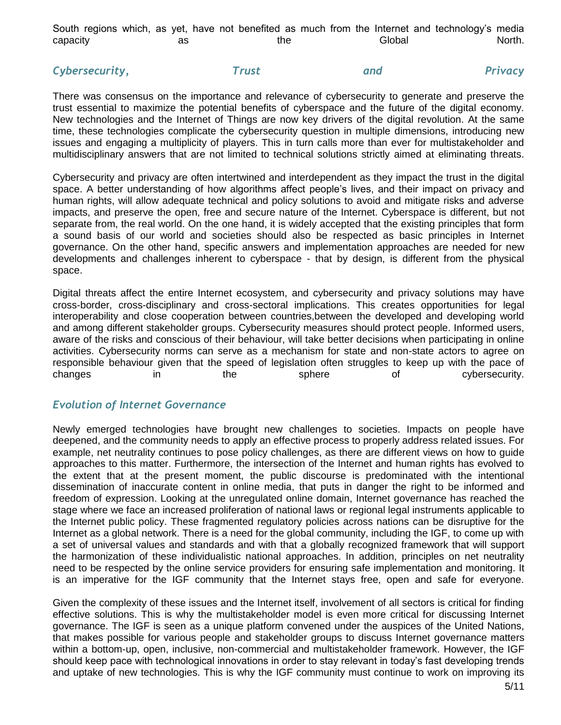| South regions which, as yet, have not benefited as much from the Internet and technology's media |    |  |     |  |  |        |  |        |
|--------------------------------------------------------------------------------------------------|----|--|-----|--|--|--------|--|--------|
| capacity                                                                                         | as |  | the |  |  | Global |  | North. |

# **Cybersecurity, Trust Cybersecurity, Trust** and Privacy

There was consensus on the importance and relevance of cybersecurity to generate and preserve the trust essential to maximize the potential benefits of cyberspace and the future of the digital economy. New technologies and the Internet of Things are now key drivers of the digital revolution. At the same time, these technologies complicate the cybersecurity question in multiple dimensions, introducing new issues and engaging a multiplicity of players. This in turn calls more than ever for multistakeholder and multidisciplinary answers that are not limited to technical solutions strictly aimed at eliminating threats.

Cybersecurity and privacy are often intertwined and interdependent as they impact the trust in the digital space. A better understanding of how algorithms affect people's lives, and their impact on privacy and human rights, will allow adequate technical and policy solutions to avoid and mitigate risks and adverse impacts, and preserve the open, free and secure nature of the Internet. Cyberspace is different, but not separate from, the real world. On the one hand, it is widely accepted that the existing principles that form a sound basis of our world and societies should also be respected as basic principles in Internet governance. On the other hand, specific answers and implementation approaches are needed for new developments and challenges inherent to cyberspace - that by design, is different from the physical space.

Digital threats affect the entire Internet ecosystem, and cybersecurity and privacy solutions may have cross-border, cross-disciplinary and cross-sectoral implications. This creates opportunities for legal interoperability and close cooperation between countries,between the developed and developing world and among different stakeholder groups. Cybersecurity measures should protect people. Informed users, aware of the risks and conscious of their behaviour, will take better decisions when participating in online activities. Cybersecurity norms can serve as a mechanism for state and non-state actors to agree on responsible behaviour given that the speed of legislation often struggles to keep up with the pace of changes in the sphere of cybersecurity.

#### *Evolution of Internet Governance*

Newly emerged technologies have brought new challenges to societies. Impacts on people have deepened, and the community needs to apply an effective process to properly address related issues. For example, net neutrality continues to pose policy challenges, as there are different views on how to guide approaches to this matter. Furthermore, the intersection of the Internet and human rights has evolved to the extent that at the present moment, the public discourse is predominated with the intentional dissemination of inaccurate content in online media, that puts in danger the right to be informed and freedom of expression. Looking at the unregulated online domain, Internet governance has reached the stage where we face an increased proliferation of national laws or regional legal instruments applicable to the Internet public policy. These fragmented regulatory policies across nations can be disruptive for the Internet as a global network. There is a need for the global community, including the IGF, to come up with a set of universal values and standards and with that a globally recognized framework that will support the harmonization of these individualistic national approaches. In addition, principles on net neutrality need to be respected by the online service providers for ensuring safe implementation and monitoring. It is an imperative for the IGF community that the Internet stays free, open and safe for everyone.

Given the complexity of these issues and the Internet itself, involvement of all sectors is critical for finding effective solutions. This is why the multistakeholder model is even more critical for discussing Internet governance. The IGF is seen as a unique platform convened under the auspices of the United Nations, that makes possible for various people and stakeholder groups to discuss Internet governance matters within a bottom-up, open, inclusive, non-commercial and multistakeholder framework. However, the IGF should keep pace with technological innovations in order to stay relevant in today's fast developing trends and uptake of new technologies. This is why the IGF community must continue to work on improving its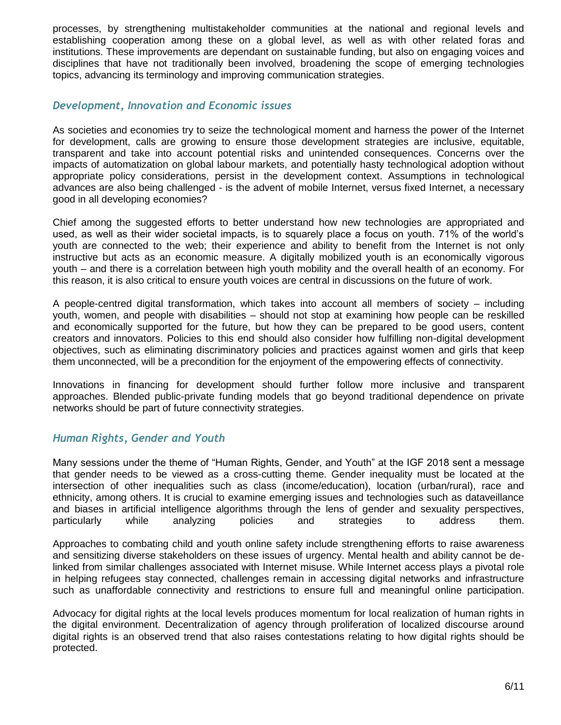processes, by strengthening multistakeholder communities at the national and regional levels and establishing cooperation among these on a global level, as well as with other related foras and institutions. These improvements are dependant on sustainable funding, but also on engaging voices and disciplines that have not traditionally been involved, broadening the scope of emerging technologies topics, advancing its terminology and improving communication strategies.

### *Development, Innovation and Economic issues*

As societies and economies try to seize the technological moment and harness the power of the Internet for development, calls are growing to ensure those development strategies are inclusive, equitable, transparent and take into account potential risks and unintended consequences. Concerns over the impacts of automatization on global labour markets, and potentially hasty technological adoption without appropriate policy considerations, persist in the development context. Assumptions in technological advances are also being challenged - is the advent of mobile Internet, versus fixed Internet, a necessary good in all developing economies?

Chief among the suggested efforts to better understand how new technologies are appropriated and used, as well as their wider societal impacts, is to squarely place a focus on youth. 71% of the world's youth are connected to the web; their experience and ability to benefit from the Internet is not only instructive but acts as an economic measure. A digitally mobilized youth is an economically vigorous youth – and there is a correlation between high youth mobility and the overall health of an economy. For this reason, it is also critical to ensure youth voices are central in discussions on the future of work.

A people-centred digital transformation, which takes into account all members of society – including youth, women, and people with disabilities – should not stop at examining how people can be reskilled and economically supported for the future, but how they can be prepared to be good users, content creators and innovators. Policies to this end should also consider how fulfilling non-digital development objectives, such as eliminating discriminatory policies and practices against women and girls that keep them unconnected, will be a precondition for the enjoyment of the empowering effects of connectivity.

Innovations in financing for development should further follow more inclusive and transparent approaches. Blended public-private funding models that go beyond traditional dependence on private networks should be part of future connectivity strategies.

### *Human Rights, Gender and Youth*

Many sessions under the theme of "Human Rights, Gender, and Youth" at the IGF 2018 sent a message that gender needs to be viewed as a cross-cutting theme. Gender inequality must be located at the intersection of other inequalities such as class (income/education), location (urban/rural), race and ethnicity, among others. It is crucial to examine emerging issues and technologies such as dataveillance and biases in artificial intelligence algorithms through the lens of gender and sexuality perspectives, particularly while analyzing policies and strategies to address them.

Approaches to combating child and youth online safety include strengthening efforts to raise awareness and sensitizing diverse stakeholders on these issues of urgency. Mental health and ability cannot be delinked from similar challenges associated with Internet misuse. While Internet access plays a pivotal role in helping refugees stay connected, challenges remain in accessing digital networks and infrastructure such as unaffordable connectivity and restrictions to ensure full and meaningful online participation.

Advocacy for digital rights at the local levels produces momentum for local realization of human rights in the digital environment. Decentralization of agency through proliferation of localized discourse around digital rights is an observed trend that also raises contestations relating to how digital rights should be protected.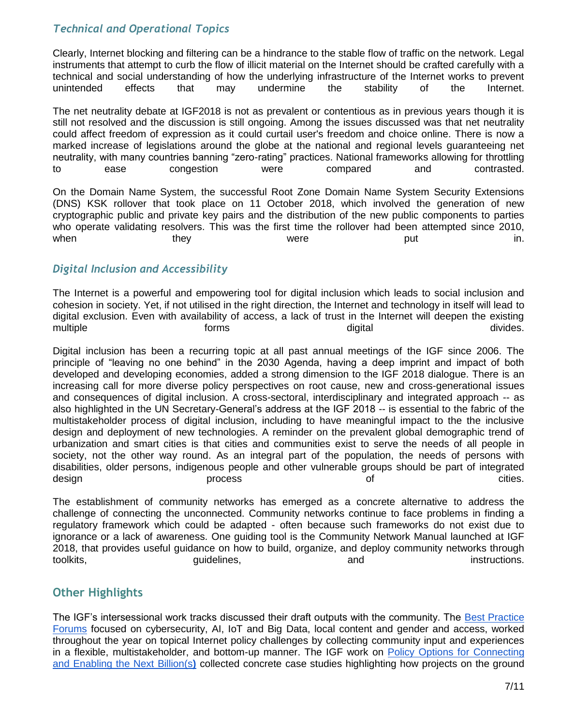# *Technical and Operational Topics*

Clearly, Internet blocking and filtering can be a hindrance to the stable flow of traffic on the network. Legal instruments that attempt to curb the flow of illicit material on the Internet should be crafted carefully with a technical and social understanding of how the underlying infrastructure of the Internet works to prevent unintended effects that may undermine the stability of the Internet.

The net neutrality debate at IGF2018 is not as prevalent or contentious as in previous years though it is still not resolved and the discussion is still ongoing. Among the issues discussed was that net neutrality could affect freedom of expression as it could curtail user's freedom and choice online. There is now a marked increase of legislations around the globe at the national and regional levels guaranteeing net neutrality, with many countries banning "zero-rating" practices. National frameworks allowing for throttling to ease congestion were compared and contrasted.

On the Domain Name System, the successful Root Zone Domain Name System Security Extensions (DNS) KSK rollover that took place on 11 October 2018, which involved the generation of new cryptographic public and private key pairs and the distribution of the new public components to parties who operate validating resolvers. This was the first time the rollover had been attempted since 2010, when they they were put the in.

# *Digital Inclusion and Accessibility*

The Internet is a powerful and empowering tool for digital inclusion which leads to social inclusion and cohesion in society. Yet, if not utilised in the right direction, the Internet and technology in itself will lead to digital exclusion. Even with availability of access, a lack of trust in the Internet will deepen the existing multiple **digital** digital different control of the forms digital divides.

Digital inclusion has been a recurring topic at all past annual meetings of the IGF since 2006. The principle of "leaving no one behind" in the 2030 Agenda, having a deep imprint and impact of both developed and developing economies, added a strong dimension to the IGF 2018 dialogue. There is an increasing call for more diverse policy perspectives on root cause, new and cross-generational issues and consequences of digital inclusion. A cross-sectoral, interdisciplinary and integrated approach -- as also highlighted in the UN Secretary-General's address at the IGF 2018 -- is essential to the fabric of the multistakeholder process of digital inclusion, including to have meaningful impact to the the inclusive design and deployment of new technologies. A reminder on the prevalent global demographic trend of urbanization and smart cities is that cities and communities exist to serve the needs of all people in society, not the other way round. As an integral part of the population, the needs of persons with disabilities, older persons, indigenous people and other vulnerable groups should be part of integrated design extensive process that the process of the cities.

The establishment of community networks has emerged as a concrete alternative to address the challenge of connecting the unconnected. Community networks continue to face problems in finding a regulatory framework which could be adapted - often because such frameworks do not exist due to ignorance or a lack of awareness. One guiding tool is the Community Network Manual launched at IGF 2018, that provides useful guidance on how to build, organize, and deploy community networks through toolkits, the control of the control of the control of the control of the control of the control of the control of the control of the control of the control of the control of the control of the control of the control of th

# **Other Highlights**

The IGF's intersessional work tracks discussed their draft outputs with the community. The [Best Practice](https://www.intgovforum.org/multilingual/content/best-practice-forums-6)  [Forums](https://www.intgovforum.org/multilingual/content/best-practice-forums-6) focused on cybersecurity, AI, IoT and Big Data, local content and gender and access, worked throughout the year on topical Internet policy challenges by collecting community input and experiences in a flexible, multistakeholder, and bottom-up manner. The IGF work on [Policy Options for Connecting](https://www.intgovforum.org/multilingual/content/policy-options-for-connecting-and-enabling-the-next-billions-phase-ii)  [and Enabling the Next Billion\(s](https://www.intgovforum.org/multilingual/content/policy-options-for-connecting-and-enabling-the-next-billions-phase-ii)**[\)](https://www.intgovforum.org/multilingual/content/policy-options-for-connecting-and-enabling-the-next-billions-phase-ii)** collected concrete case studies highlighting how projects on the ground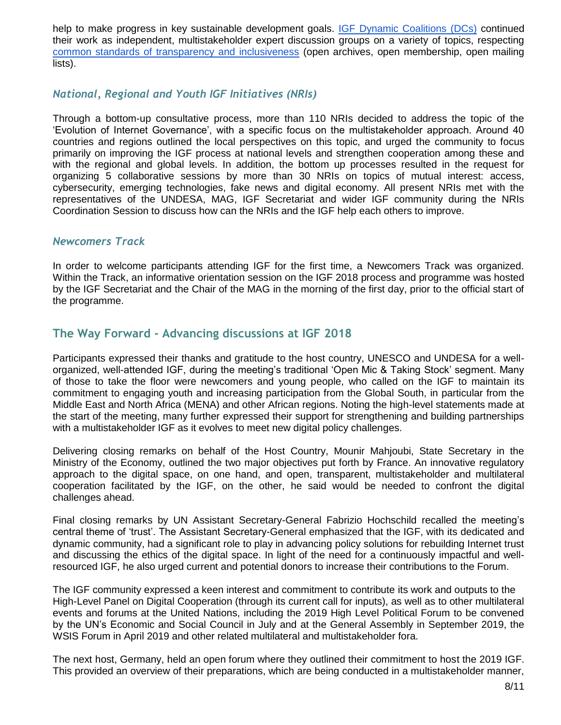help to make progress in key sustainable development goals. [IGF Dynamic Coalitions \(DCs\)](https://www.intgovforum.org/multilingual/content/dynamic-coalitions-4) continued their work as independent, multistakeholder expert discussion groups on a variety of topics, respecting [common standards of transparency and inclusiveness](https://www.intgovforum.org/multilingual/content/terms-of-reference-dynamic-coalition-coordination-group-dccg) (open archives, open membership, open mailing lists).

### *National, Regional and Youth IGF Initiatives (NRIs)*

Through a bottom-up consultative process, more than 110 NRIs decided to address the topic of the 'Evolution of Internet Governance', with a specific focus on the multistakeholder approach. Around 40 countries and regions outlined the local perspectives on this topic, and urged the community to focus primarily on improving the IGF process at national levels and strengthen cooperation among these and with the regional and global levels. In addition, the bottom up processes resulted in the request for organizing 5 collaborative sessions by more than 30 NRIs on topics of mutual interest: access, cybersecurity, emerging technologies, fake news and digital economy. All present NRIs met with the representatives of the UNDESA, MAG, IGF Secretariat and wider IGF community during the NRIs Coordination Session to discuss how can the NRIs and the IGF help each others to improve.

### *Newcomers Track*

In order to welcome participants attending IGF for the first time, a Newcomers Track was organized. Within the Track, an informative orientation session on the IGF 2018 process and programme was hosted by the IGF Secretariat and the Chair of the MAG in the morning of the first day, prior to the official start of the programme.

# **The Way Forward - Advancing discussions at IGF 2018**

Participants expressed their thanks and gratitude to the host country, UNESCO and UNDESA for a wellorganized, well-attended IGF, during the meeting's traditional 'Open Mic & Taking Stock' segment. Many of those to take the floor were newcomers and young people, who called on the IGF to maintain its commitment to engaging youth and increasing participation from the Global South, in particular from the Middle East and North Africa (MENA) and other African regions. Noting the high-level statements made at the start of the meeting, many further expressed their support for strengthening and building partnerships with a multistakeholder IGF as it evolves to meet new digital policy challenges.

Delivering closing remarks on behalf of the Host Country, Mounir Mahjoubi, State Secretary in the Ministry of the Economy, outlined the two major objectives put forth by France. An innovative regulatory approach to the digital space, on one hand, and open, transparent, multistakeholder and multilateral cooperation facilitated by the IGF, on the other, he said would be needed to confront the digital challenges ahead.

Final closing remarks by UN Assistant Secretary-General Fabrizio Hochschild recalled the meeting's central theme of 'trust'. The Assistant Secretary-General emphasized that the IGF, with its dedicated and dynamic community, had a significant role to play in advancing policy solutions for rebuilding Internet trust and discussing the ethics of the digital space. In light of the need for a continuously impactful and wellresourced IGF, he also urged current and potential donors to increase their contributions to the Forum.

The IGF community expressed a keen interest and commitment to contribute its work and outputs to the High-Level Panel on Digital Cooperation (through its current call for inputs), as well as to other multilateral events and forums at the United Nations, including the 2019 High Level Political Forum to be convened by the UN's Economic and Social Council in July and at the General Assembly in September 2019, the WSIS Forum in April 2019 and other related multilateral and multistakeholder fora.

The next host, Germany, held an open forum where they outlined their commitment to host the 2019 IGF. This provided an overview of their preparations, which are being conducted in a multistakeholder manner,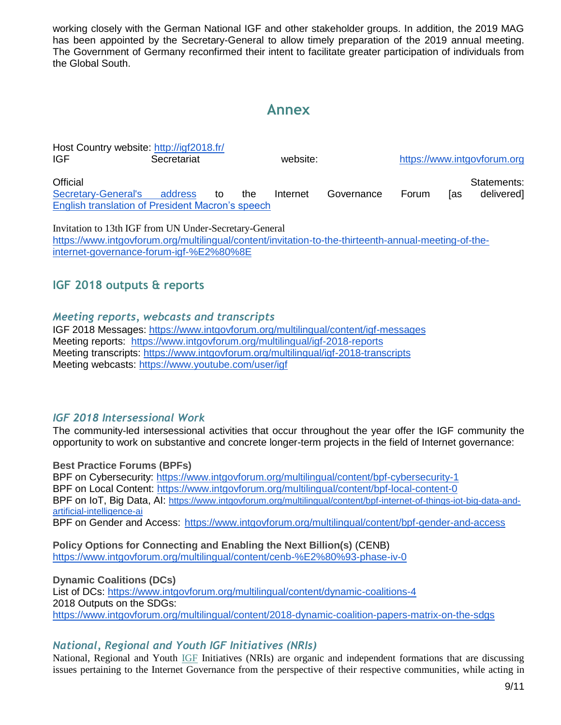working closely with the German National IGF and other stakeholder groups. In addition, the 2019 MAG has been appointed by the Secretary-General to allow timely preparation of the 2019 annual meeting. The Government of Germany reconfirmed their intent to facilitate greater participation of individuals from the Global South.

# **Annex**

Host Country website:<http://igf2018.fr/> IGF Secretariat website: https://www.intgovforum.org/ Official Statements: [Secretary-General's address](https://www.un.org/sg/en/content/sg/statement/2018-11-12/secretary-generals-address-internet-governance-forum-delivered) to the Internet Governance Forum [as delivered] [English translation of President Macron's speech](https://www.intgovforum.org/multilingual/content/igf-2018-speech-by-french-president-emmanuel-macron)

[Invitation to 13th IGF from UN Under-Secretary-General](https://www.intgovforum.org/multilingual/content/invitation-to-the-thirteenth-annual-meeting-of-the-internet-governance-forum-igf-%E2%80%8E) [https://www.intgovforum.org/multilingual/content/invitation-to-the-thirteenth-annual-meeting-of-the](https://www.intgovforum.org/multilingual/content/invitation-to-the-thirteenth-annual-meeting-of-the-internet-governance-forum-igf-%E2%80%8E)[internet-governance-forum-igf-%E2%80%8E](https://www.intgovforum.org/multilingual/content/invitation-to-the-thirteenth-annual-meeting-of-the-internet-governance-forum-igf-%E2%80%8E)

# **IGF 2018 outputs & reports**

### *Meeting reports, webcasts and transcripts*

IGF 2018 Messages:<https://www.intgovforum.org/multilingual/content/igf-messages> Meeting reports: <https://www.intgovforum.org/multilingual/igf-2018-reports> Meeting transcripts:<https://www.intgovforum.org/multilingual/igf-2018-transcripts> Meeting webcasts:<https://www.youtube.com/user/igf>

# *IGF 2018 Intersessional Work*

The community-led intersessional activities that occur throughout the year offer the IGF community the opportunity to work on substantive and concrete longer-term projects in the field of Internet governance:

**Best Practice Forums (BPFs)**  BPF on Cybersecurity:<https://www.intgovforum.org/multilingual/content/bpf-cybersecurity-1> BPF on Local Content:<https://www.intgovforum.org/multilingual/content/bpf-local-content-0> BPF on IoT, Big Data, AI: [https://www.intgovforum.org/multilingual/content/bpf-internet-of-things-iot-big-data-and](https://www.intgovforum.org/multilingual/content/bpf-internet-of-things-iot-big-data-and-artificial-intelligence-ai)[artificial-intelligence-ai](https://www.intgovforum.org/multilingual/content/bpf-internet-of-things-iot-big-data-and-artificial-intelligence-ai) BPF on Gender and Access: <https://www.intgovforum.org/multilingual/content/bpf-gender-and-access>

**Policy Options for Connecting and Enabling the Next Billion(s)** (CENB) <https://www.intgovforum.org/multilingual/content/cenb-%E2%80%93-phase-iv-0>

**Dynamic Coalitions (DCs)** List of DCs:<https://www.intgovforum.org/multilingual/content/dynamic-coalitions-4> 2018 Outputs on the SDGs: <https://www.intgovforum.org/multilingual/content/2018-dynamic-coalition-papers-matrix-on-the-sdgs>

# *National, Regional and Youth IGF Initiatives (NRIs)*

National, Regional and Youth [IGF](https://www.intgovforum.org/multilingual/lexicon/8#IGF) Initiatives (NRIs) are organic and independent formations that are discussing issues pertaining to the Internet Governance from the perspective of their respective communities, while acting in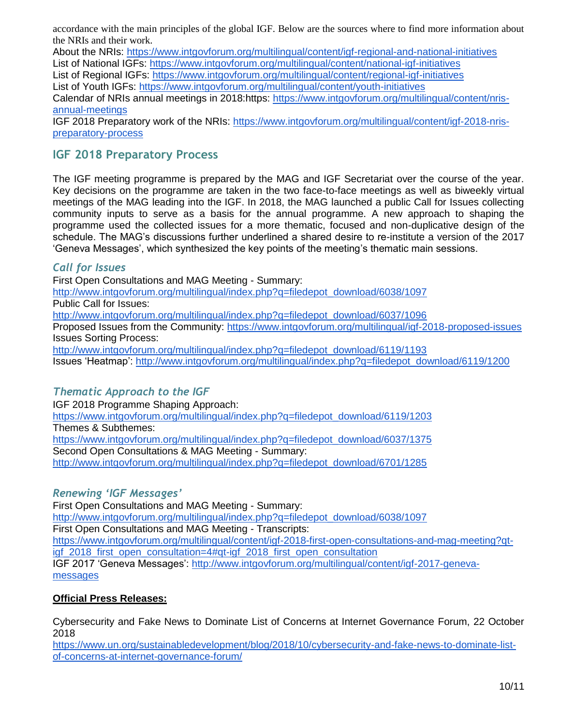accordance with the main principles of the global IGF. Below are the sources where to find more information about the NRIs and their work.

About the NRIs:<https://www.intgovforum.org/multilingual/content/igf-regional-and-national-initiatives> List of National IGFs:<https://www.intgovforum.org/multilingual/content/national-igf-initiatives> List of Regional IGFs:<https://www.intgovforum.org/multilingual/content/regional-igf-initiatives> List of Youth IGFs:<https://www.intgovforum.org/multilingual/content/youth-initiatives> Calendar of NRIs annual meetings in 2018:https: [https://www.intgovforum.org/multilingual/content/nris](https://www.intgovforum.org/multilingual/content/nris-annual-meetings)[annual-meetings](https://www.intgovforum.org/multilingual/content/nris-annual-meetings)

IGF 2018 Preparatory work of the NRIs: [https://www.intgovforum.org/multilingual/content/igf-2018-nris](https://www.intgovforum.org/multilingual/content/igf-2018-nris-preparatory-process)[preparatory-process](https://www.intgovforum.org/multilingual/content/igf-2018-nris-preparatory-process)

# **IGF 2018 Preparatory Process**

The IGF meeting programme is prepared by the MAG and IGF Secretariat over the course of the year. Key decisions on the programme are taken in the two face-to-face meetings as well as biweekly virtual meetings of the MAG leading into the IGF. In 2018, the MAG launched a public Call for Issues collecting community inputs to serve as a basis for the annual programme. A new approach to shaping the programme used the collected issues for a more thematic, focused and non-duplicative design of the schedule. The MAG's discussions further underlined a shared desire to re-institute a version of the 2017 'Geneva Messages', which synthesized the key points of the meeting's thematic main sessions.

### *Call for Issues*

First Open Consultations and MAG Meeting - Summary: [http://www.intgovforum.org/multilingual/index.php?q=filedepot\\_download/6038/1097](http://www.intgovforum.org/multilingual/index.php?q=filedepot_download/6038/1097) [Public Ca](http://www.intgovforum.org/multilingual/index.php?q=filedepot_download/6037/1096)ll for [Issues:](http://www.intgovforum.org/multilingual/index.php?q=filedepot_download/6037/1096) [http://www.intgovforum.org/multilingual/index.php?q=filedepot\\_download/6037/1096](http://www.intgovforum.org/multilingual/index.php?q=filedepot_download/6037/1096) [Pro](https://www.intgovforum.org/multilingual/igf-2018-proposed-issues)posed [Issues from the Community: https://www.intgovforum.org/multilingual/igf-2018-proposed-issues](https://www.intgovforum.org/multilingual/igf-2018-proposed-issues) [Issues So](http://www.intgovforum.org/multilingual/index.php?q=filedepot_download/6119/1193)rting Pro[cess:](http://www.intgovforum.org/multilingual/index.php?q=filedepot_download/6119/1193)

[http://www.intgovforum.org/multilingual/index.php?q=filedepot\\_download/6119/1193](http://www.intgovforum.org/multilingual/index.php?q=filedepot_download/6119/1193) [Iss](http://www.intgovforum.org/multilingual/index.php?q=filedepot_download/6119/1200)ues 'He[atmap': http://www.intgovforum.org/multilingual/index.php?q=filedepot\\_download/6119/1200](http://www.intgovforum.org/multilingual/index.php?q=filedepot_download/6119/1200)

# *Thematic Approach to the IGF*

IGF 2018 Programme Shaping Approach: [https://www.intgovforum.org/multilingual/index.php?q=filedepot\\_download/6119/1203](https://www.intgovforum.org/multilingual/index.php?q=filedepot_download/6119/1203) Themes & Subthemes: [https://www.intgovforum.org/multilingual/index.php?q=filedepot\\_download/6037/1375](https://www.intgovforum.org/multilingual/index.php?q=filedepot_download/6037/1375) Second Open Consultations & MAG Meeting - Summary: [http://www.intgovforum.org/multilingual/index.php?q=filedepot\\_download/6701/1285](http://www.intgovforum.org/multilingual/index.php?q=filedepot_download/6701/1285)

# *Renewing 'IGF Messages'*

First Open Consultations and MAG Meeting - Summary: [http://www.intgovforum.org/multilingual/index.php?q=filedepot\\_download/6038/1097](http://www.intgovforum.org/multilingual/index.php?q=filedepot_download/6038/1097) First Open Consultations and MAG Meeting - Transcripts: [https://www.intgovforum.org/multilingual/content/igf-2018-first-open-consultations-and-mag-meeting?qt](https://www.intgovforum.org/multilingual/content/igf-2018-first-open-consultations-and-mag-meeting?qt-igf_2018_first_open_consultation=4#qt-igf_2018_first_open_consultation)igf 2018 first open consultation=4#gt-igf 2018 first open consultation [IGF 2017 'Ge](http://www.intgovforum.org/multilingual/content/igf-2017-geneva-messages)neva Messages': [http://www.intgovforum.org/multilingual/content/igf-2017-geneva](http://www.intgovforum.org/multilingual/content/igf-2017-geneva-messages)[messages](http://www.intgovforum.org/multilingual/content/igf-2017-geneva-messages)

# **Official Press Releases:**

Cybersecurity and Fake News to Dominate List of Concerns at Internet Governance Forum, 22 October 2018

[https://www.un.org/sustainabledevelopment/blog/2018/10/cybersecurity-and-fake-news-to-dominate-list](https://www.un.org/sustainabledevelopment/blog/2018/10/cybersecurity-and-fake-news-to-dominate-list-of-concerns-at-internet-governance-forum/)[of-concerns-at-internet-governance-forum/](https://www.un.org/sustainabledevelopment/blog/2018/10/cybersecurity-and-fake-news-to-dominate-list-of-concerns-at-internet-governance-forum/)